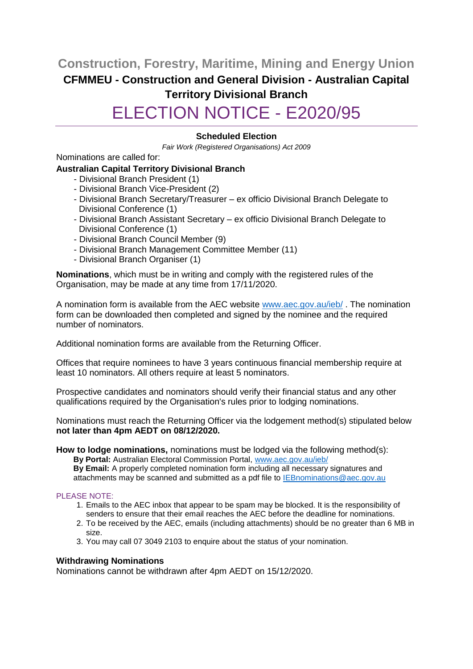**Construction, Forestry, Maritime, Mining and Energy Union CFMMEU - Construction and General Division - Australian Capital Territory Divisional Branch** ELECTION NOTICE - E2020/95

# **Scheduled Election**

*Fair Work (Registered Organisations) Act 2009*

Nominations are called for:

### **Australian Capital Territory Divisional Branch**

- Divisional Branch President (1)
- Divisional Branch Vice-President (2)
- Divisional Branch Secretary/Treasurer ex officio Divisional Branch Delegate to Divisional Conference (1)
- Divisional Branch Assistant Secretary ex officio Divisional Branch Delegate to Divisional Conference (1)
- Divisional Branch Council Member (9)
- Divisional Branch Management Committee Member (11)
- Divisional Branch Organiser (1)

**Nominations**, which must be in writing and comply with the registered rules of the Organisation, may be made at any time from 17/11/2020.

A nomination form is available from the AEC website [www.aec.gov.au/ieb/](http://www.aec.gov.au/ieb/) . The nomination form can be downloaded then completed and signed by the nominee and the required number of nominators.

Additional nomination forms are available from the Returning Officer.

Offices that require nominees to have 3 years continuous financial membership require at least 10 nominators. All others require at least 5 nominators.

Prospective candidates and nominators should verify their financial status and any other qualifications required by the Organisation's rules prior to lodging nominations.

Nominations must reach the Returning Officer via the lodgement method(s) stipulated below **not later than 4pm AEDT on 08/12/2020.**

**How to lodge nominations,** nominations must be lodged via the following method(s):

**By Portal:** Australian Electoral Commission Portal, [www.aec.gov.au/ieb/](http://www.aec.gov.au/ieb/)

**By Email:** A properly completed nomination form including all necessary signatures and attachments may be scanned and submitted as a pdf file to [IEBnominations@aec.gov.au](mailto:IEBnominations@aec.gov.au)

### PLEASE NOTE:

- 1. Emails to the AEC inbox that appear to be spam may be blocked. It is the responsibility of senders to ensure that their email reaches the AEC before the deadline for nominations.
- 2. To be received by the AEC, emails (including attachments) should be no greater than 6 MB in size.
- 3. You may call 07 3049 2103 to enquire about the status of your nomination.

### **Withdrawing Nominations**

Nominations cannot be withdrawn after 4pm AEDT on 15/12/2020.